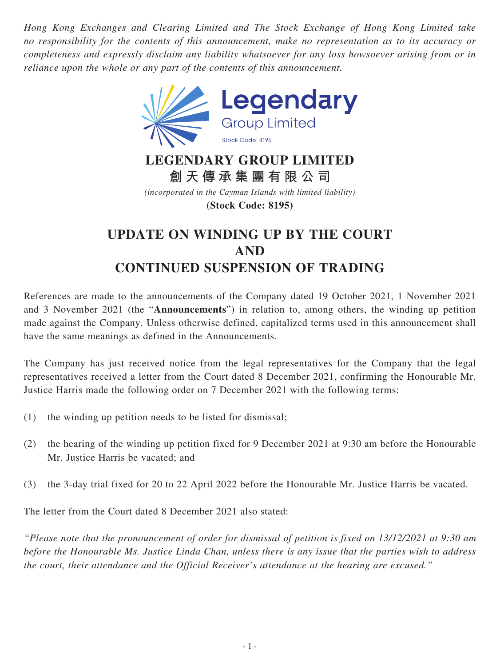*Hong Kong Exchanges and Clearing Limited and The Stock Exchange of Hong Kong Limited take no responsibility for the contents of this announcement, make no representation as to its accuracy or completeness and expressly disclaim any liability whatsoever for any loss howsoever arising from or in reliance upon the whole or any part of the contents of this announcement.*



## **LEGENDARY GROUP LIMITED 創天傳承集團有限公司**

*(incorporated in the Cayman Islands with limited liability)* **(Stock Code: 8195)**

## **UPDATE ON WINDING UP BY THE COURT AND CONTINUED SUSPENSION OF TRADING**

References are made to the announcements of the Company dated 19 October 2021, 1 November 2021 and 3 November 2021 (the "**Announcements**") in relation to, among others, the winding up petition made against the Company. Unless otherwise defined, capitalized terms used in this announcement shall have the same meanings as defined in the Announcements.

The Company has just received notice from the legal representatives for the Company that the legal representatives received a letter from the Court dated 8 December 2021, confirming the Honourable Mr. Justice Harris made the following order on 7 December 2021 with the following terms:

- (1) the winding up petition needs to be listed for dismissal;
- (2) the hearing of the winding up petition fixed for 9 December 2021 at 9:30 am before the Honourable Mr. Justice Harris be vacated; and
- (3) the 3-day trial fixed for 20 to 22 April 2022 before the Honourable Mr. Justice Harris be vacated.

The letter from the Court dated 8 December 2021 also stated:

*"Please note that the pronouncement of order for dismissal of petition is fixed on 13/12/2021 at 9:30 am before the Honourable Ms. Justice Linda Chan, unless there is any issue that the parties wish to address the court, their attendance and the Official Receiver's attendance at the hearing are excused."*